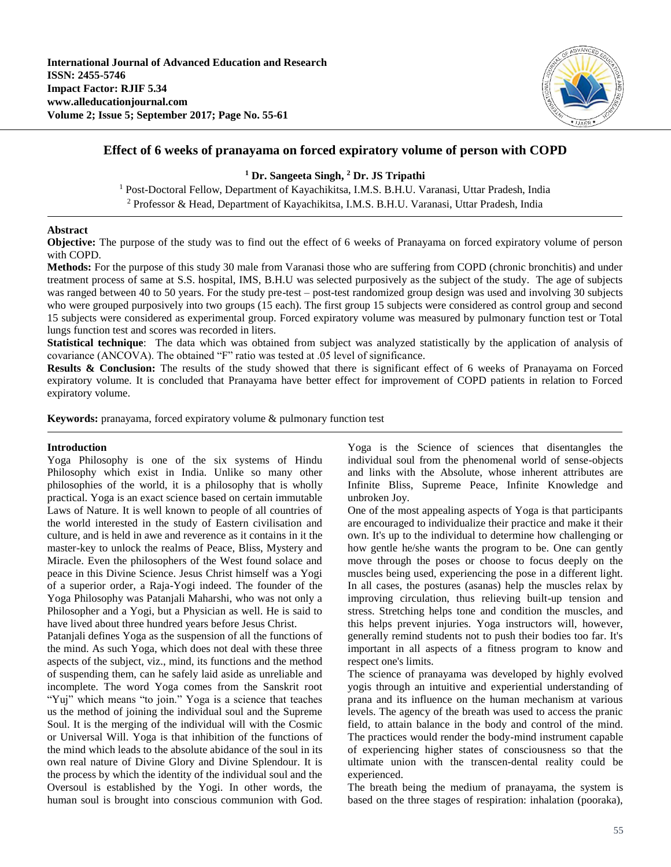

# **Effect of 6 weeks of pranayama on forced expiratory volume of person with COPD**

## **<sup>1</sup> Dr. Sangeeta Singh, <sup>2</sup> Dr. JS Tripathi**

<sup>1</sup> Post-Doctoral Fellow, Department of Kayachikitsa, I.M.S. B.H.U. Varanasi, Uttar Pradesh, India <sup>2</sup> Professor & Head, Department of Kayachikitsa, I.M.S. B.H.U. Varanasi, Uttar Pradesh, India

## **Abstract**

**Objective:** The purpose of the study was to find out the effect of 6 weeks of Pranayama on forced expiratory volume of person with COPD.

**Methods:** For the purpose of this study 30 male from Varanasi those who are suffering from COPD (chronic bronchitis) and under treatment process of same at S.S. hospital, IMS, B.H.U was selected purposively as the subject of the study. The age of subjects was ranged between 40 to 50 years. For the study pre-test – post-test randomized group design was used and involving 30 subjects who were grouped purposively into two groups (15 each). The first group 15 subjects were considered as control group and second 15 subjects were considered as experimental group. Forced expiratory volume was measured by pulmonary function test or Total lungs function test and scores was recorded in liters.

**Statistical technique**: The data which was obtained from subject was analyzed statistically by the application of analysis of covariance (ANCOVA). The obtained "F" ratio was tested at .05 level of significance.

**Results & Conclusion:** The results of the study showed that there is significant effect of 6 weeks of Pranayama on Forced expiratory volume. It is concluded that Pranayama have better effect for improvement of COPD patients in relation to Forced expiratory volume.

**Keywords:** pranayama, forced expiratory volume & pulmonary function test

## **Introduction**

Yoga Philosophy is one of the six systems of Hindu Philosophy which exist in India. Unlike so many other philosophies of the world, it is a philosophy that is wholly practical. Yoga is an exact science based on certain immutable Laws of Nature. It is well known to people of all countries of the world interested in the study of Eastern civilisation and culture, and is held in awe and reverence as it contains in it the master-key to unlock the realms of Peace, Bliss, Mystery and Miracle. Even the philosophers of the West found solace and peace in this Divine Science. Jesus Christ himself was a Yogi of a superior order, a Raja-Yogi indeed. The founder of the Yoga Philosophy was Patanjali Maharshi, who was not only a Philosopher and a Yogi, but a Physician as well. He is said to have lived about three hundred years before Jesus Christ.

Patanjali defines Yoga as the suspension of all the functions of the mind. As such Yoga, which does not deal with these three aspects of the subject, viz., mind, its functions and the method of suspending them, can he safely laid aside as unreliable and incomplete. The word Yoga comes from the Sanskrit root "Yuj" which means "to join." Yoga is a science that teaches us the method of joining the individual soul and the Supreme Soul. It is the merging of the individual will with the Cosmic or Universal Will. Yoga is that inhibition of the functions of the mind which leads to the absolute abidance of the soul in its own real nature of Divine Glory and Divine Splendour. It is the process by which the identity of the individual soul and the Oversoul is established by the Yogi. In other words, the human soul is brought into conscious communion with God.

Yoga is the Science of sciences that disentangles the individual soul from the phenomenal world of sense-objects and links with the Absolute, whose inherent attributes are Infinite Bliss, Supreme Peace, Infinite Knowledge and unbroken Joy.

One of the most appealing aspects of Yoga is that participants are encouraged to individualize their practice and make it their own. It's up to the individual to determine how challenging or how gentle he/she wants the program to be. One can gently move through the poses or choose to focus deeply on the muscles being used, experiencing the pose in a different light. In all cases, the postures (asanas) help the muscles relax by improving circulation, thus relieving built-up tension and stress. Stretching helps tone and condition the muscles, and this helps prevent injuries. Yoga instructors will, however, generally remind students not to push their bodies too far. It's important in all aspects of a fitness program to know and respect one's limits.

The science of pranayama was developed by highly evolved yogis through an intuitive and experiential understanding of prana and its influence on the human mechanism at various levels. The agency of the breath was used to access the pranic field, to attain balance in the body and control of the mind. The practices would render the body-mind instrument capable of experiencing higher states of consciousness so that the ultimate union with the transcen-dental reality could be experienced.

The breath being the medium of pranayama, the system is based on the three stages of respiration: inhalation (pooraka),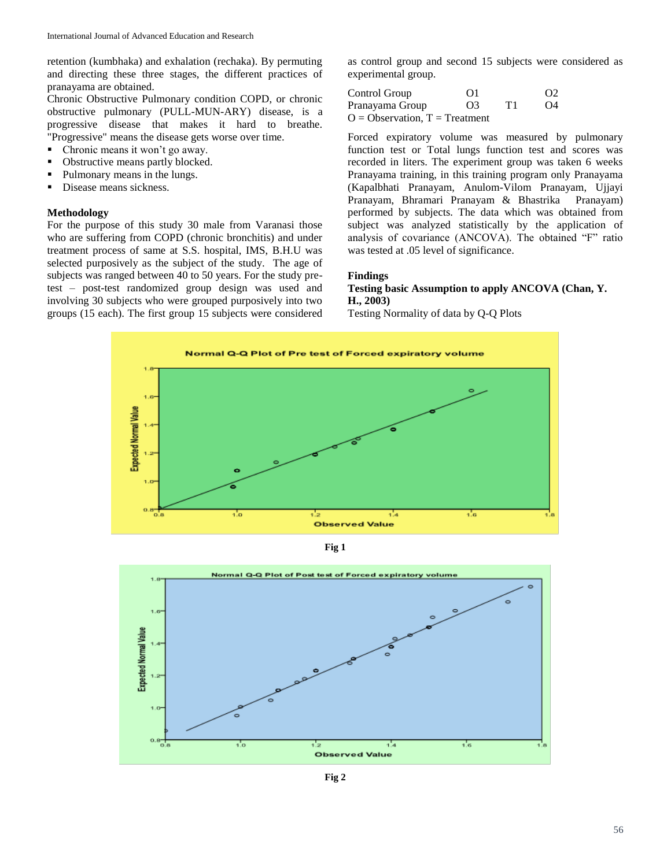retention (kumbhaka) and exhalation (rechaka). By permuting and directing these three stages, the different practices of pranayama are obtained.

Chronic Obstructive Pulmonary condition COPD, or chronic obstructive pulmonary (PULL-MUN-ARY) disease, is a progressive disease that makes it hard to breathe. "Progressive" means the disease gets worse over time.

- Chronic means it won't go away.
- Obstructive means partly blocked.
- Pulmonary means in the lungs.
- **Disease means sickness.**

#### **Methodology**

For the purpose of this study 30 male from Varanasi those who are suffering from COPD (chronic bronchitis) and under treatment process of same at S.S. hospital, IMS, B.H.U was selected purposively as the subject of the study. The age of subjects was ranged between 40 to 50 years. For the study pretest – post-test randomized group design was used and involving 30 subjects who were grouped purposively into two groups (15 each). The first group 15 subjects were considered

as control group and second 15 subjects were considered as experimental group.

| Control Group                       | $\Omega$       |    | $\Omega$       |
|-------------------------------------|----------------|----|----------------|
| Pranayama Group                     | O <sup>3</sup> | T1 | O <sub>4</sub> |
| $O =$ Observation, $T = T$ reatment |                |    |                |

Forced expiratory volume was measured by pulmonary function test or Total lungs function test and scores was recorded in liters. The experiment group was taken 6 weeks Pranayama training, in this training program only Pranayama (Kapalbhati Pranayam, Anulom-Vilom Pranayam, Ujjayi Pranayam, Bhramari Pranayam & Bhastrika Pranayam) performed by subjects. The data which was obtained from subject was analyzed statistically by the application of analysis of covariance (ANCOVA). The obtained "F" ratio was tested at .05 level of significance.

#### **Findings**

# **Testing basic Assumption to apply ANCOVA (Chan, Y. H., 2003)**

Testing Normality of data by Q-Q Plots





**Fig 2**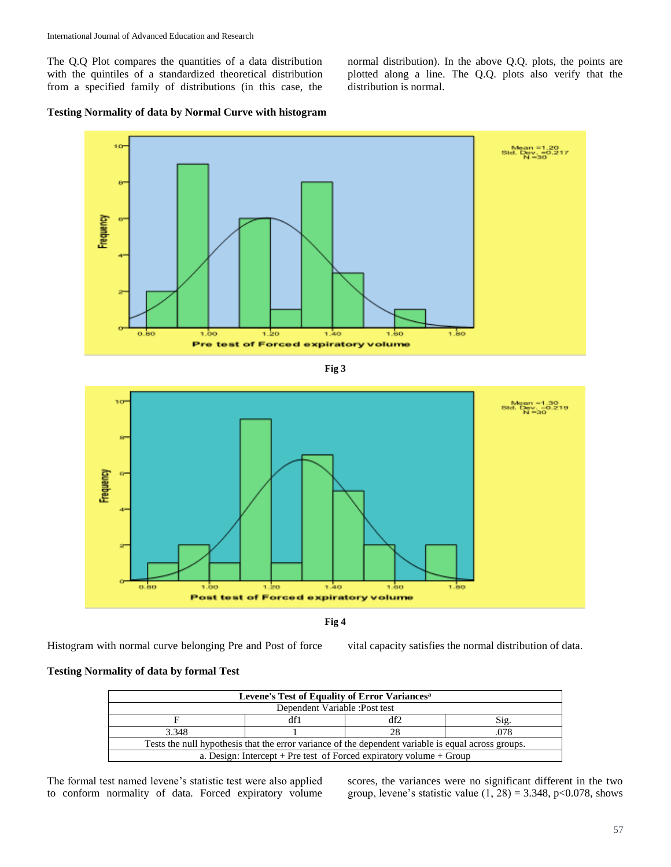The Q.Q Plot compares the quantities of a data distribution with the quintiles of a standardized theoretical distribution from a specified family of distributions (in this case, the

normal distribution). In the above Q.Q. plots, the points are plotted along a line. The Q.Q. plots also verify that the distribution is normal.

## **Testing Normality of data by Normal Curve with histogram**









Histogram with normal curve belonging Pre and Post of force vital capacity satisfies the normal distribution of data.

# **Testing Normality of data by formal Test**

| Levene's Test of Equality of Error Variances <sup>a</sup>                                           |     |     |      |  |  |
|-----------------------------------------------------------------------------------------------------|-----|-----|------|--|--|
| Dependent Variable : Post test                                                                      |     |     |      |  |  |
|                                                                                                     | df1 | df2 | Sig. |  |  |
| 3.348                                                                                               |     |     | .078 |  |  |
| Tests the null hypothesis that the error variance of the dependent variable is equal across groups. |     |     |      |  |  |
| a. Design: Intercept + Pre test of Forced expiratory volume + Group                                 |     |     |      |  |  |

The formal test named levene's statistic test were also applied to conform normality of data. Forced expiratory volume

scores, the variances were no significant different in the two group, levene's statistic value  $(1, 28) = 3.348$ , p<0.078, shows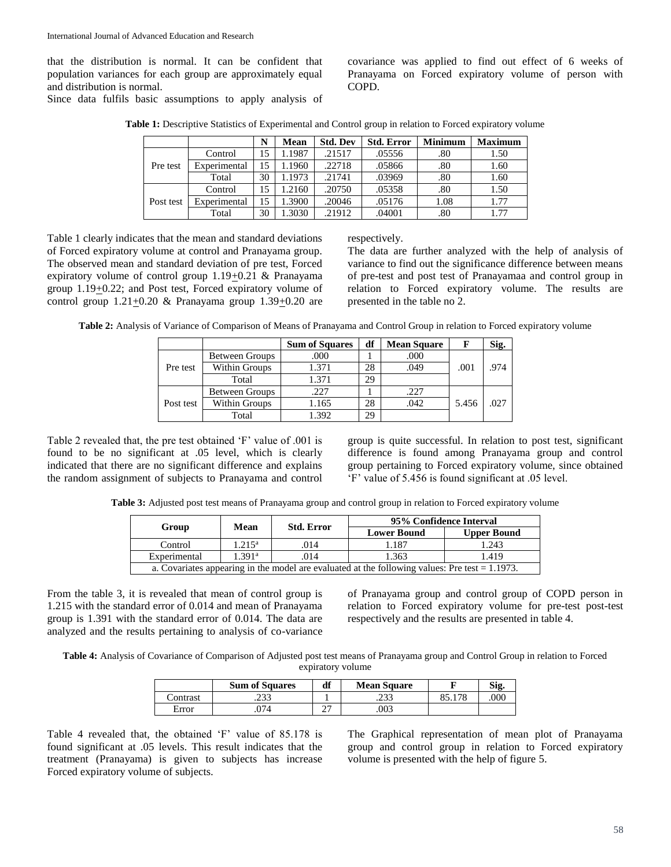that the distribution is normal. It can be confident that population variances for each group are approximately equal and distribution is normal.

Since data fulfils basic assumptions to apply analysis of

covariance was applied to find out effect of 6 weeks of Pranayama on Forced expiratory volume of person with COPD.

|           |              | N  | Mean  | <b>Std. Dev</b> | <b>Std. Error</b> | <b>Minimum</b> | <b>Maximum</b> |
|-----------|--------------|----|-------|-----------------|-------------------|----------------|----------------|
|           | Control      |    | 1987  | .21517          | .05556            | .80            | 1.50           |
| Pre test  | Experimental | 15 | 1960  | .22718          | .05866            | .80            | 1.60           |
|           | Total        | 30 | 1973  | .21741          | .03969            | .80            | 1.60           |
|           | Control      |    | .2160 | .20750          | .05358            | .80            | 1.50           |
| Post test | Experimental |    | 3900  | .20046          | .05176            | 0.08           | 1.77           |

**Table 1:** Descriptive Statistics of Experimental and Control group in relation to Forced expiratory volume

Table 1 clearly indicates that the mean and standard deviations of Forced expiratory volume at control and Pranayama group. The observed mean and standard deviation of pre test, Forced expiratory volume of control group  $1.19+0.21$  & Pranayama group 1.19+0.22; and Post test, Forced expiratory volume of control group  $1.21 \pm 0.20$  & Pranayama group  $1.39 \pm 0.20$  are respectively.

Total 30 1.3030 .21912 .04001 .80 1.77

The data are further analyzed with the help of analysis of variance to find out the significance difference between means of pre-test and post test of Pranayamaa and control group in relation to Forced expiratory volume. The results are presented in the table no 2.

**Table 2:** Analysis of Variance of Comparison of Means of Pranayama and Control Group in relation to Forced expiratory volume

|           |                       | <b>Sum of Squares</b> | df | <b>Mean Square</b> | F     | Sig. |
|-----------|-----------------------|-----------------------|----|--------------------|-------|------|
|           | <b>Between Groups</b> | .000                  |    | .000               |       |      |
| Pre test  | Within Groups         | 1.371                 | 28 | .049               | .001  | .974 |
|           | Total                 | 1.371                 | 29 |                    |       |      |
|           | <b>Between Groups</b> | .227                  |    | .227               |       |      |
| Post test | Within Groups         | 1.165                 | 28 | .042               | 5.456 | .027 |
|           | Total                 | 1.392                 | 29 |                    |       |      |

Table 2 revealed that, the pre test obtained 'F' value of .001 is found to be no significant at .05 level, which is clearly indicated that there are no significant difference and explains the random assignment of subjects to Pranayama and control

group is quite successful. In relation to post test, significant difference is found among Pranayama group and control group pertaining to Forced expiratory volume, since obtained 'F' value of 5.456 is found significant at .05 level.

**Table 3:** Adjusted post test means of Pranayama group and control group in relation to Forced expiratory volume

| Mean<br>Group                                                                                     |                    |                   | 95% Confidence Interval |                    |  |
|---------------------------------------------------------------------------------------------------|--------------------|-------------------|-------------------------|--------------------|--|
|                                                                                                   |                    | <b>Std. Error</b> | <b>Lower Bound</b>      | <b>Upper Bound</b> |  |
| Control                                                                                           | $1.215^{\rm a}$    | .014              | .187                    | 1.243              |  |
| Experimental                                                                                      | 1.391 <sup>a</sup> | .014              | 1.363                   | 1.419              |  |
| a. Covariates appearing in the model are evaluated at the following values: Pre test $= 1.1973$ . |                    |                   |                         |                    |  |

From the table 3, it is revealed that mean of control group is 1.215 with the standard error of 0.014 and mean of Pranayama group is 1.391 with the standard error of 0.014. The data are analyzed and the results pertaining to analysis of co-variance of Pranayama group and control group of COPD person in relation to Forced expiratory volume for pre-test post-test respectively and the results are presented in table 4.

**Table 4:** Analysis of Covariance of Comparison of Adjusted post test means of Pranayama group and Control Group in relation to Forced expiratory volume

|          | <b>Sum of Squares</b> | df | <b>Mean Square</b> |     | Sig. |
|----------|-----------------------|----|--------------------|-----|------|
| `ontrast | າາາ<br>ر ر∠.          |    | າາາ<br>دد∠.        | 170 | 000  |
| Error    | 74                    | ∸  | 003                |     |      |

Table 4 revealed that, the obtained 'F' value of 85.178 is found significant at .05 levels. This result indicates that the treatment (Pranayama) is given to subjects has increase Forced expiratory volume of subjects.

The Graphical representation of mean plot of Pranayama group and control group in relation to Forced expiratory volume is presented with the help of figure 5.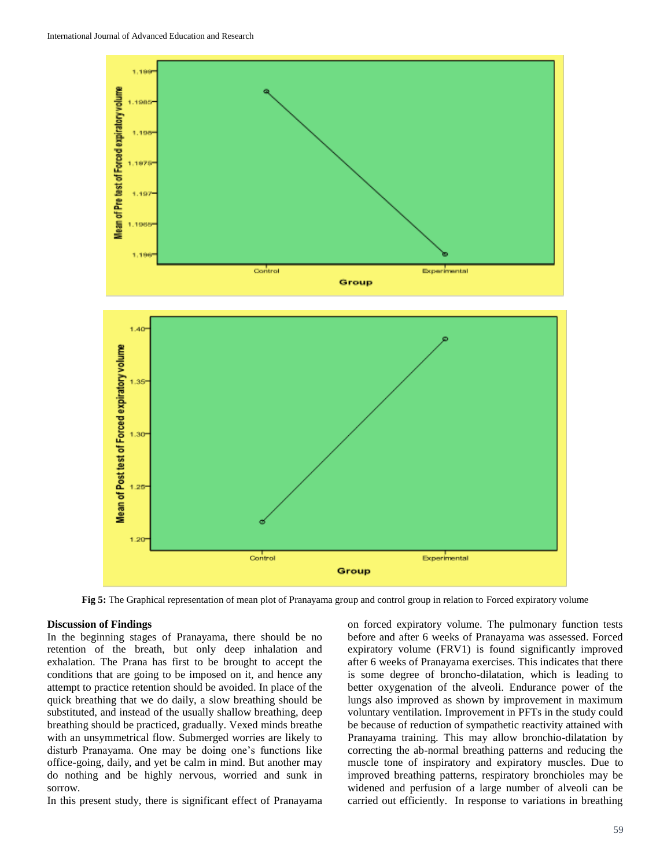

**Fig 5:** The Graphical representation of mean plot of Pranayama group and control group in relation to Forced expiratory volume

#### **Discussion of Findings**

In the beginning stages of Pranayama, there should be no retention of the breath, but only deep inhalation and exhalation. The Prana has first to be brought to accept the conditions that are going to be imposed on it, and hence any attempt to practice retention should be avoided. In place of the quick breathing that we do daily, a slow breathing should be substituted, and instead of the usually shallow breathing, deep breathing should be practiced, gradually. Vexed minds breathe with an unsymmetrical flow. Submerged worries are likely to disturb Pranayama. One may be doing one's functions like office-going, daily, and yet be calm in mind. But another may do nothing and be highly nervous, worried and sunk in sorrow.

In this present study, there is significant effect of Pranayama

on forced expiratory volume. The pulmonary function tests before and after 6 weeks of Pranayama was assessed. Forced expiratory volume (FRV1) is found significantly improved after 6 weeks of Pranayama exercises. This indicates that there is some degree of broncho-dilatation, which is leading to better oxygenation of the alveoli. Endurance power of the lungs also improved as shown by improvement in maximum voluntary ventilation. Improvement in PFTs in the study could be because of reduction of sympathetic reactivity attained with Pranayama training. This may allow bronchio-dilatation by correcting the ab-normal breathing patterns and reducing the muscle tone of inspiratory and expiratory muscles. Due to improved breathing patterns, respiratory bronchioles may be widened and perfusion of a large number of alveoli can be carried out efficiently. In response to variations in breathing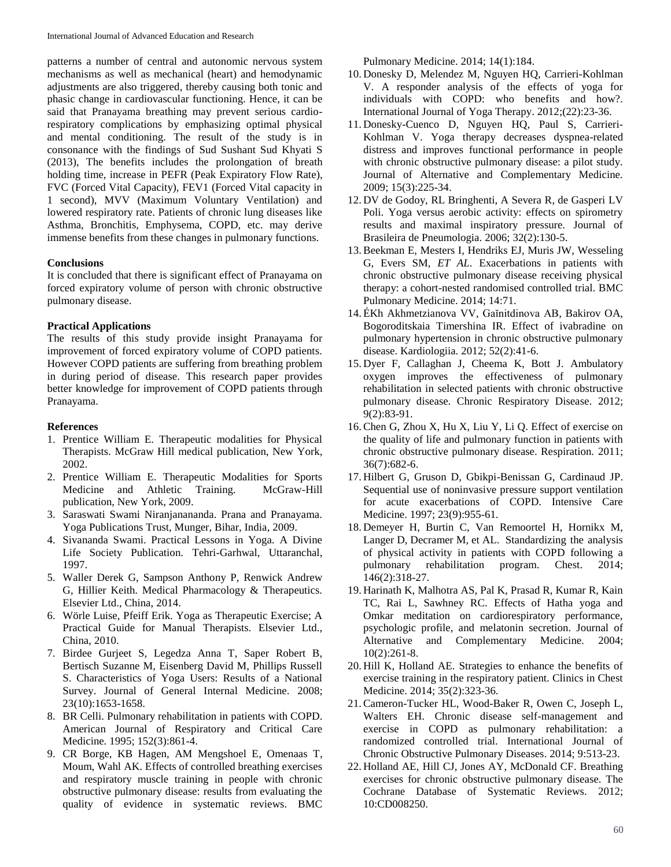patterns a number of central and autonomic nervous system mechanisms as well as mechanical (heart) and hemodynamic adjustments are also triggered, thereby causing both tonic and phasic change in cardiovascular functioning. Hence, it can be said that Pranayama breathing may prevent serious cardiorespiratory complications by emphasizing optimal physical and mental conditioning. The result of the study is in consonance with the findings of Sud Sushant Sud Khyati S (2013), The benefits includes the prolongation of breath holding time, increase in PEFR (Peak Expiratory Flow Rate), FVC (Forced Vital Capacity), FEV1 (Forced Vital capacity in 1 second), MVV (Maximum Voluntary Ventilation) and lowered respiratory rate. Patients of chronic lung diseases like Asthma, Bronchitis, Emphysema, COPD, etc. may derive immense benefits from these changes in pulmonary functions.

# **Conclusions**

It is concluded that there is significant effect of Pranayama on forced expiratory volume of person with chronic obstructive pulmonary disease.

# **Practical Applications**

The results of this study provide insight Pranayama for improvement of forced expiratory volume of COPD patients. However COPD patients are suffering from breathing problem in during period of disease. This research paper provides better knowledge for improvement of COPD patients through Pranayama.

# **References**

- 1. Prentice William E. Therapeutic modalities for Physical Therapists. McGraw Hill medical publication, New York, 2002.
- 2. Prentice William E. Therapeutic Modalities for Sports Medicine and Athletic Training. McGraw-Hill publication, New York, 2009.
- 3. Saraswati Swami Niranjanananda. Prana and Pranayama. Yoga Publications Trust, Munger, Bihar, India, 2009.
- 4. Sivananda Swami. Practical Lessons in Yoga. A Divine Life Society Publication. Tehri-Garhwal, Uttaranchal, 1997.
- 5. Waller Derek G, Sampson Anthony P, Renwick Andrew G, Hillier Keith. Medical Pharmacology & Therapeutics. Elsevier Ltd., China, 2014.
- 6. Wörle Luise, Pfeiff Erik. Yoga as Therapeutic Exercise; A Practical Guide for Manual Therapists. Elsevier Ltd., China, 2010.
- 7. Birdee Gurjeet S, Legedza Anna T, Saper Robert B, Bertisch Suzanne M, Eisenberg David M, Phillips Russell S. Characteristics of Yoga Users: Results of a National Survey. Journal of General Internal Medicine. 2008; 23(10):1653-1658.
- 8. BR Celli. Pulmonary rehabilitation in patients with COPD. American Journal of Respiratory and Critical Care Medicine. 1995; 152(3):861-4.
- 9. CR Borge, KB Hagen, AM Mengshoel E, Omenaas T, Moum, Wahl AK. Effects of controlled breathing exercises and respiratory muscle training in people with chronic obstructive pulmonary disease: results from evaluating the quality of evidence in systematic reviews. BMC

Pulmonary Medicine. 2014; 14(1):184.

- 10. Donesky D, Melendez M, Nguyen HQ, Carrieri-Kohlman V. A responder analysis of the effects of yoga for individuals with COPD: who benefits and how?. International Journal of Yoga Therapy. 2012;(22):23-36.
- 11. Donesky-Cuenco D, Nguyen HQ, Paul S, Carrieri-Kohlman V. Yoga therapy decreases dyspnea-related distress and improves functional performance in people with chronic obstructive pulmonary disease: a pilot study. Journal of Alternative and Complementary Medicine. 2009; 15(3):225-34.
- 12. DV de Godoy, RL Bringhenti, A Severa R, de Gasperi LV Poli. Yoga versus aerobic activity: effects on spirometry results and maximal inspiratory pressure. Journal of Brasileira de Pneumologia. 2006; 32(2):130-5.
- 13.Beekman E, Mesters I, Hendriks EJ, Muris JW, Wesseling G, Evers SM, *ET AL*. Exacerbations in patients with chronic obstructive pulmonary disease receiving physical therapy: a cohort-nested randomised controlled trial. BMC Pulmonary Medicine. 2014; 14:71.
- 14. ÉKh Akhmetzianova VV, Gaĭnitdinova AB, Bakirov OA, Bogoroditskaia Timershina IR. Effect of ivabradine on pulmonary hypertension in chronic obstructive pulmonary disease. Kardiologiia. 2012; 52(2):41-6.
- 15. Dyer F, Callaghan J, Cheema K, Bott J. Ambulatory oxygen improves the effectiveness of pulmonary rehabilitation in selected patients with chronic obstructive pulmonary disease. Chronic Respiratory Disease. 2012; 9(2):83-91.
- 16.Chen G, Zhou X, Hu X, Liu Y, Li Q. Effect of exercise on the quality of life and pulmonary function in patients with chronic obstructive pulmonary disease. Respiration. 2011; 36(7):682-6.
- 17. Hilbert G, Gruson D, Gbikpi-Benissan G, Cardinaud JP. Sequential use of noninvasive pressure support ventilation for acute exacerbations of COPD. Intensive Care Medicine. 1997; 23(9):955-61.
- 18. Demeyer H, Burtin C, Van Remoortel H, Hornikx M, Langer D, Decramer M, et AL. Standardizing the analysis of physical activity in patients with COPD following a pulmonary rehabilitation program. Chest. 2014; 146(2):318-27.
- 19. Harinath K, Malhotra AS, Pal K, Prasad R, Kumar R, Kain TC, Rai L, Sawhney RC. Effects of Hatha yoga and Omkar meditation on cardiorespiratory performance, psychologic profile, and melatonin secretion. Journal of Alternative and Complementary Medicine. 2004; 10(2):261-8.
- 20. Hill K, Holland AE. Strategies to enhance the benefits of exercise training in the respiratory patient. Clinics in Chest Medicine. 2014; 35(2):323-36.
- 21.Cameron-Tucker HL, Wood-Baker R, Owen C, Joseph L, Walters EH. Chronic disease self-management and exercise in COPD as pulmonary rehabilitation: a randomized controlled trial. International Journal of Chronic Obstructive Pulmonary Diseases. 2014; 9:513-23.
- 22. Holland AE, Hill CJ, Jones AY, McDonald CF. Breathing exercises for chronic obstructive pulmonary disease. The Cochrane Database of Systematic Reviews. 2012; 10:CD008250.